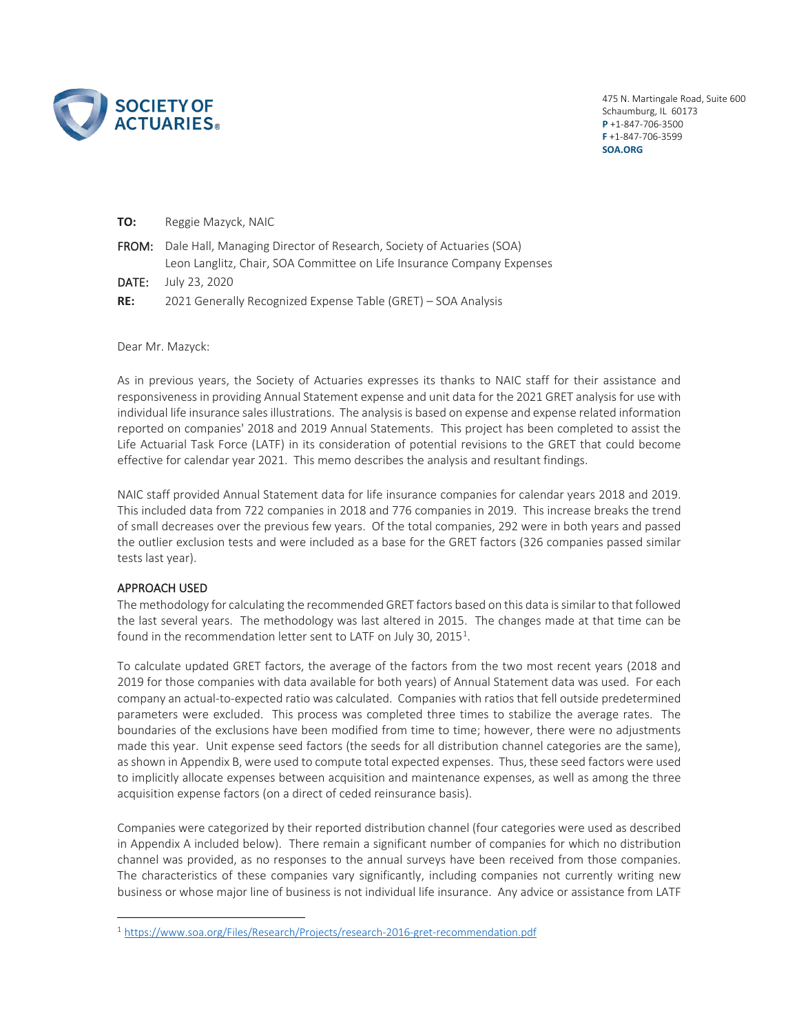

475 N. Martingale Road, Suite 600 Schaumburg, IL 60173 **P** +1-847-706-3500 **F** +1-847-706-3599 **SOA.ORG**

| TO: | Reggie Mazyck, NAIC                                                                                  |
|-----|------------------------------------------------------------------------------------------------------|
|     | <b>FROM:</b> Dale Hall, Managing Director of Research, Society of Actuaries (SOA)                    |
|     | Leon Langlitz, Chair, SOA Committee on Life Insurance Company Expenses<br><b>DATE:</b> July 23, 2020 |
| RE: | 2021 Generally Recognized Expense Table (GRET) - SOA Analysis                                        |

Dear Mr. Mazyck:

As in previous years, the Society of Actuaries expresses its thanks to NAIC staff for their assistance and responsiveness in providing Annual Statement expense and unit data for the 2021 GRET analysis for use with individual life insurance sales illustrations. The analysis is based on expense and expense related information reported on companies' 2018 and 2019 Annual Statements. This project has been completed to assist the Life Actuarial Task Force (LATF) in its consideration of potential revisions to the GRET that could become effective for calendar year 2021. This memo describes the analysis and resultant findings.

NAIC staff provided Annual Statement data for life insurance companies for calendar years 2018 and 2019. This included data from 722 companies in 2018 and 776 companies in 2019. This increase breaks the trend of small decreases over the previous few years. Of the total companies, 292 were in both years and passed the outlier exclusion tests and were included as a base for the GRET factors (326 companies passed similar tests last year).

# APPROACH USED

The methodology for calculating the recommended GRET factors based on this data is similar to that followed the last several years. The methodology was last altered in 2015. The changes made at that time can be found in the recommendation letter sent to LATF on July 30, 20[1](#page-0-0)5<sup>1</sup>.

To calculate updated GRET factors, the average of the factors from the two most recent years (2018 and 2019 for those companies with data available for both years) of Annual Statement data was used. For each company an actual-to-expected ratio was calculated. Companies with ratios that fell outside predetermined parameters were excluded. This process was completed three times to stabilize the average rates. The boundaries of the exclusions have been modified from time to time; however, there were no adjustments made this year. Unit expense seed factors (the seeds for all distribution channel categories are the same), as shown in Appendix B, were used to compute total expected expenses. Thus, these seed factors were used to implicitly allocate expenses between acquisition and maintenance expenses, as well as among the three acquisition expense factors (on a direct of ceded reinsurance basis).

Companies were categorized by their reported distribution channel (four categories were used as described in Appendix A included below). There remain a significant number of companies for which no distribution channel was provided, as no responses to the annual surveys have been received from those companies. The characteristics of these companies vary significantly, including companies not currently writing new business or whose major line of business is not individual life insurance. Any advice or assistance from LATF

<span id="page-0-0"></span><sup>1</sup> <https://www.soa.org/Files/Research/Projects/research-2016-gret-recommendation.pdf>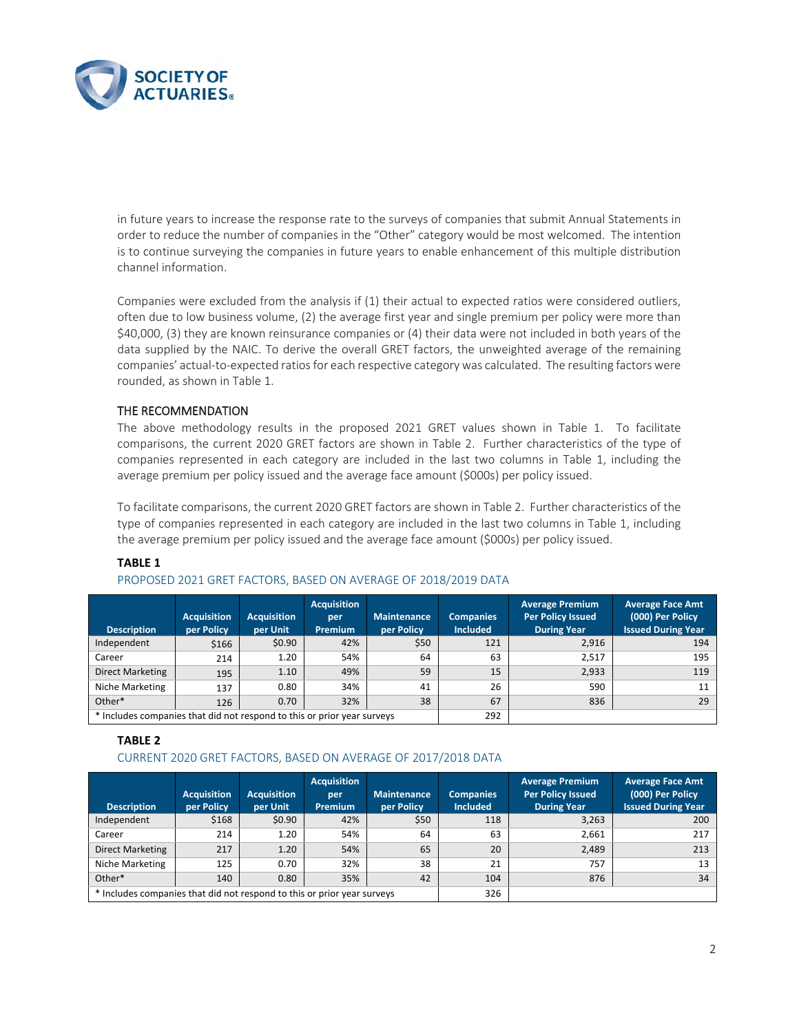

in future years to increase the response rate to the surveys of companies that submit Annual Statements in order to reduce the number of companies in the "Other" category would be most welcomed. The intention is to continue surveying the companies in future years to enable enhancement of this multiple distribution channel information.

Companies were excluded from the analysis if (1) their actual to expected ratios were considered outliers, often due to low business volume, (2) the average first year and single premium per policy were more than \$40,000, (3) they are known reinsurance companies or (4) their data were not included in both years of the data supplied by the NAIC. To derive the overall GRET factors, the unweighted average of the remaining companies' actual-to-expected ratios for each respective category was calculated. The resulting factors were rounded, as shown in Table 1.

# THE RECOMMENDATION

The above methodology results in the proposed 2021 GRET values shown in Table 1. To facilitate comparisons, the current 2020 GRET factors are shown in Table 2. Further characteristics of the type of companies represented in each category are included in the last two columns in Table 1, including the average premium per policy issued and the average face amount (\$000s) per policy issued.

To facilitate comparisons, the current 2020 GRET factors are shown in Table 2. Further characteristics of the type of companies represented in each category are included in the last two columns in Table 1, including the average premium per policy issued and the average face amount (\$000s) per policy issued.

### **TABLE 1**

#### PROPOSED 2021 GRET FACTORS, BASED ON AVERAGE OF 2018/2019 DATA

| <b>Description</b>                                                      | <b>Acquisition</b><br>per Policy | <b>Acquisition</b><br>per Unit | <b>Acquisition</b><br>per<br><b>Premium</b> | <b>Maintenance</b><br>per Policy | <b>Companies</b><br><b>Included</b> | <b>Average Premium</b><br><b>Per Policy Issued</b><br><b>During Year</b> | <b>Average Face Amt</b><br>(000) Per Policy<br><b>Issued During Year</b> |
|-------------------------------------------------------------------------|----------------------------------|--------------------------------|---------------------------------------------|----------------------------------|-------------------------------------|--------------------------------------------------------------------------|--------------------------------------------------------------------------|
| Independent                                                             | \$166                            | \$0.90                         | 42%                                         | \$50                             | 121                                 | 2,916                                                                    | 194                                                                      |
| Career                                                                  | 214                              | 1.20                           | 54%                                         | 64                               | 63                                  | 2,517                                                                    | 195                                                                      |
| Direct Marketing                                                        | 195                              | 1.10                           | 49%                                         | 59                               | 15                                  | 2,933                                                                    | 119                                                                      |
| Niche Marketing                                                         | 137                              | 0.80                           | 34%                                         | 41                               | 26                                  | 590                                                                      | 11                                                                       |
| Other*                                                                  | 126                              | 0.70                           | 32%                                         | 38                               | 67                                  | 836                                                                      | 29                                                                       |
| * Includes companies that did not respond to this or prior year surveys |                                  |                                |                                             | 292                              |                                     |                                                                          |                                                                          |

#### **TABLE 2**

#### CURRENT 2020 GRET FACTORS, BASED ON AVERAGE OF 2017/2018 DATA

| <b>Description</b>                                                      | <b>Acquisition</b><br>per Policy | <b>Acquisition</b><br>per Unit | <b>Acquisition</b><br>per<br><b>Premium</b> | <b>Maintenance</b><br>per Policy | <b>Companies</b><br><b>Included</b> | <b>Average Premium</b><br><b>Per Policy Issued</b><br><b>During Year</b> | <b>Average Face Amt</b><br>(000) Per Policy<br><b>Issued During Year</b> |
|-------------------------------------------------------------------------|----------------------------------|--------------------------------|---------------------------------------------|----------------------------------|-------------------------------------|--------------------------------------------------------------------------|--------------------------------------------------------------------------|
|                                                                         |                                  |                                |                                             |                                  |                                     |                                                                          |                                                                          |
| Independent                                                             | \$168                            | \$0.90                         | 42%                                         | \$50                             | 118                                 | 3,263                                                                    | 200                                                                      |
| Career                                                                  | 214                              | 1.20                           | 54%                                         | 64                               | 63                                  | 2,661                                                                    | 217                                                                      |
| Direct Marketing                                                        | 217                              | 1.20                           | 54%                                         | 65                               | 20                                  | 2,489                                                                    | 213                                                                      |
| Niche Marketing                                                         | 125                              | 0.70                           | 32%                                         | 38                               | 21                                  | 757                                                                      | 13                                                                       |
| Other*                                                                  | 140                              | 0.80                           | 35%                                         | 42                               | 104                                 | 876                                                                      | 34                                                                       |
| * Includes companies that did not respond to this or prior year surveys |                                  |                                |                                             | 326                              |                                     |                                                                          |                                                                          |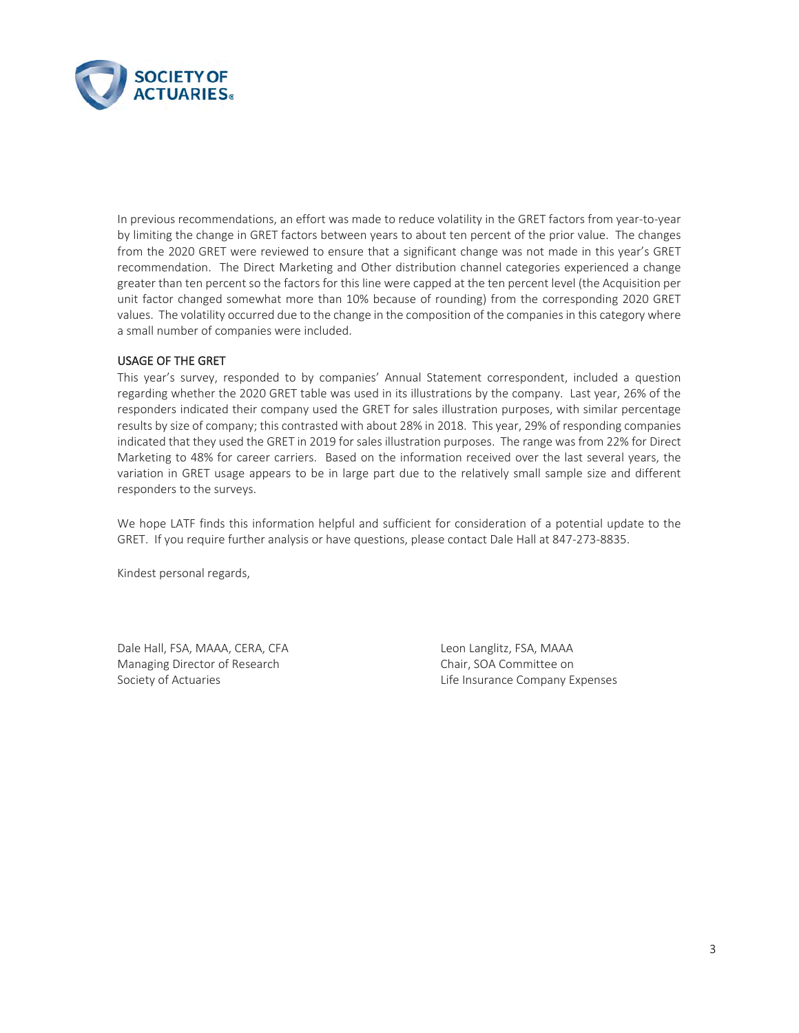

In previous recommendations, an effort was made to reduce volatility in the GRET factors from year-to-year by limiting the change in GRET factors between years to about ten percent of the prior value. The changes from the 2020 GRET were reviewed to ensure that a significant change was not made in this year's GRET recommendation. The Direct Marketing and Other distribution channel categories experienced a change greater than ten percent so the factors for this line were capped at the ten percent level (the Acquisition per unit factor changed somewhat more than 10% because of rounding) from the corresponding 2020 GRET values. The volatility occurred due to the change in the composition of the companies in this category where a small number of companies were included.

# USAGE OF THE GRET

This year's survey, responded to by companies' Annual Statement correspondent, included a question regarding whether the 2020 GRET table was used in its illustrations by the company. Last year, 26% of the responders indicated their company used the GRET for sales illustration purposes, with similar percentage results by size of company; this contrasted with about 28% in 2018. This year, 29% of responding companies indicated that they used the GRET in 2019 for sales illustration purposes. The range was from 22% for Direct Marketing to 48% for career carriers. Based on the information received over the last several years, the variation in GRET usage appears to be in large part due to the relatively small sample size and different responders to the surveys.

We hope LATF finds this information helpful and sufficient for consideration of a potential update to the GRET. If you require further analysis or have questions, please contact Dale Hall at 847-273-8835.

Kindest personal regards,

Dale Hall, FSA, MAAA, CERA, CFA Leon Langlitz, FSA, MAAA Managing Director of Research Chair, SOA Committee on

Society of Actuaries **Life Insurance Company Expenses**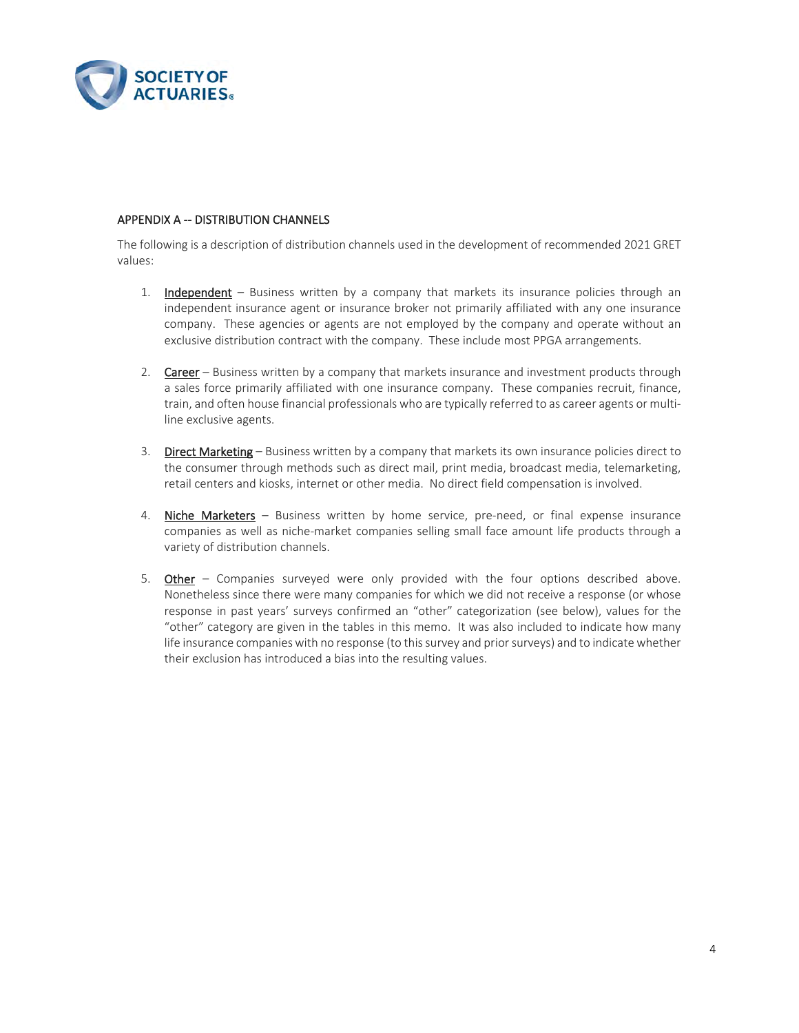

### APPENDIX A -- DISTRIBUTION CHANNELS

The following is a description of distribution channels used in the development of recommended 2021 GRET values:

- 1. Independent Business written by a company that markets its insurance policies through an independent insurance agent or insurance broker not primarily affiliated with any one insurance company. These agencies or agents are not employed by the company and operate without an exclusive distribution contract with the company. These include most PPGA arrangements.
- 2. Career Business written by a company that markets insurance and investment products through a sales force primarily affiliated with one insurance company. These companies recruit, finance, train, and often house financial professionals who are typically referred to as career agents or multiline exclusive agents.
- 3. Direct Marketing Business written by a company that markets its own insurance policies direct to the consumer through methods such as direct mail, print media, broadcast media, telemarketing, retail centers and kiosks, internet or other media. No direct field compensation is involved.
- 4. Niche Marketers Business written by home service, pre-need, or final expense insurance companies as well as niche-market companies selling small face amount life products through a variety of distribution channels.
- 5. Other Companies surveyed were only provided with the four options described above. Nonetheless since there were many companies for which we did not receive a response (or whose response in past years' surveys confirmed an "other" categorization (see below), values for the "other" category are given in the tables in this memo. It was also included to indicate how many life insurance companies with no response (to this survey and prior surveys) and to indicate whether their exclusion has introduced a bias into the resulting values.